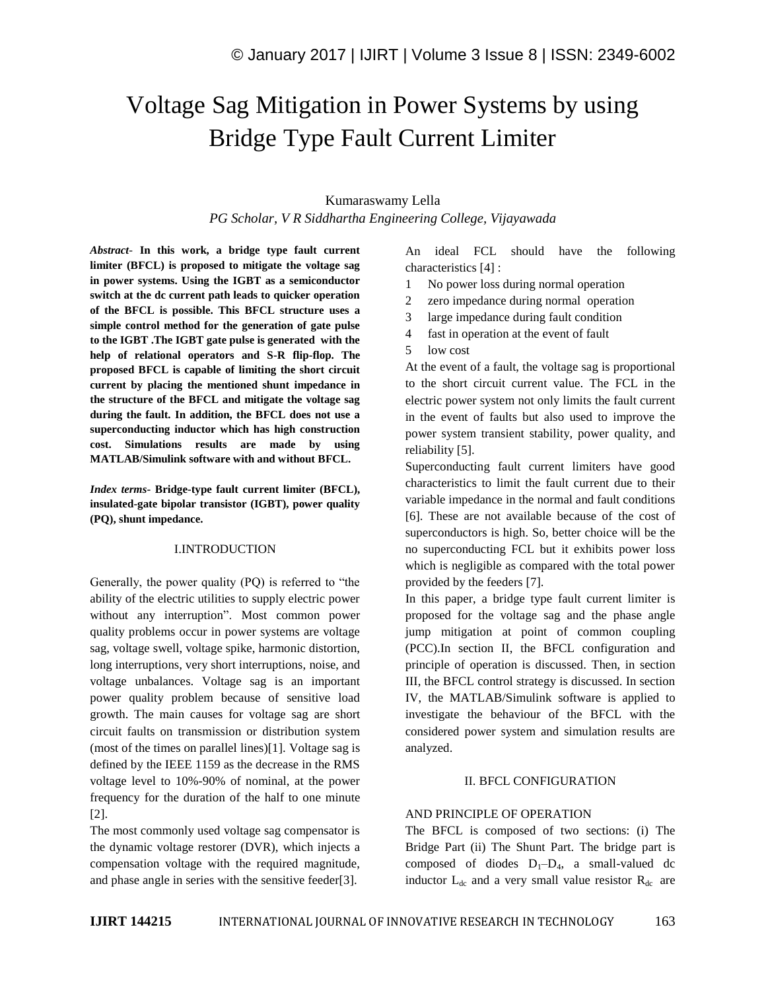# Voltage Sag Mitigation in Power Systems by using Bridge Type Fault Current Limiter

## Kumaraswamy Lella *PG Scholar, V R Siddhartha Engineering College, Vijayawada*

*Abstract*- **In this work, a bridge type fault current limiter (BFCL) is proposed to mitigate the voltage sag in power systems. Using the IGBT as a semiconductor switch at the dc current path leads to quicker operation of the BFCL is possible. This BFCL structure uses a simple control method for the generation of gate pulse to the IGBT .The IGBT gate pulse is generated with the help of relational operators and S-R flip-flop. The proposed BFCL is capable of limiting the short circuit current by placing the mentioned shunt impedance in the structure of the BFCL and mitigate the voltage sag during the fault. In addition, the BFCL does not use a superconducting inductor which has high construction cost. Simulations results are made by using MATLAB/Simulink software with and without BFCL.** 

*Index terms***- Bridge-type fault current limiter (BFCL), insulated-gate bipolar transistor (IGBT), power quality (PQ), shunt impedance.**

### I.INTRODUCTION

Generally, the power quality (PQ) is referred to "the ability of the electric utilities to supply electric power without any interruption". Most common power quality problems occur in power systems are voltage sag, voltage swell, voltage spike, harmonic distortion, long interruptions, very short interruptions, noise, and voltage unbalances. Voltage sag is an important power quality problem because of sensitive load growth. The main causes for voltage sag are short circuit faults on transmission or distribution system (most of the times on parallel lines)[1]. Voltage sag is defined by the IEEE 1159 as the decrease in the RMS voltage level to 10%-90% of nominal, at the power frequency for the duration of the half to one minute [2].

The most commonly used voltage sag compensator is the dynamic voltage restorer (DVR), which injects a compensation voltage with the required magnitude, and phase angle in series with the sensitive feeder[3].

An ideal FCL should have the following characteristics [4] :

- 1 No power loss during normal operation
- 2 zero impedance during normal operation
- 3 large impedance during fault condition
- 4 fast in operation at the event of fault
- 5 low cost

At the event of a fault, the voltage sag is proportional to the short circuit current value. The FCL in the electric power system not only limits the fault current in the event of faults but also used to improve the power system transient stability, power quality, and reliability [5].

Superconducting fault current limiters have good characteristics to limit the fault current due to their variable impedance in the normal and fault conditions [6]. These are not available because of the cost of superconductors is high. So, better choice will be the no superconducting FCL but it exhibits power loss which is negligible as compared with the total power provided by the feeders [7].

In this paper, a bridge type fault current limiter is proposed for the voltage sag and the phase angle jump mitigation at point of common coupling (PCC).In section II, the BFCL configuration and principle of operation is discussed. Then, in section III, the BFCL control strategy is discussed. In section IV, the MATLAB/Simulink software is applied to investigate the behaviour of the BFCL with the considered power system and simulation results are analyzed.

### II. BFCL CONFIGURATION

### AND PRINCIPLE OF OPERATION

The BFCL is composed of two sections: (i) The Bridge Part (ii) The Shunt Part. The bridge part is composed of diodes  $D_1-D_4$ , a small-valued dc inductor  $L_{dc}$  and a very small value resistor  $R_{dc}$  are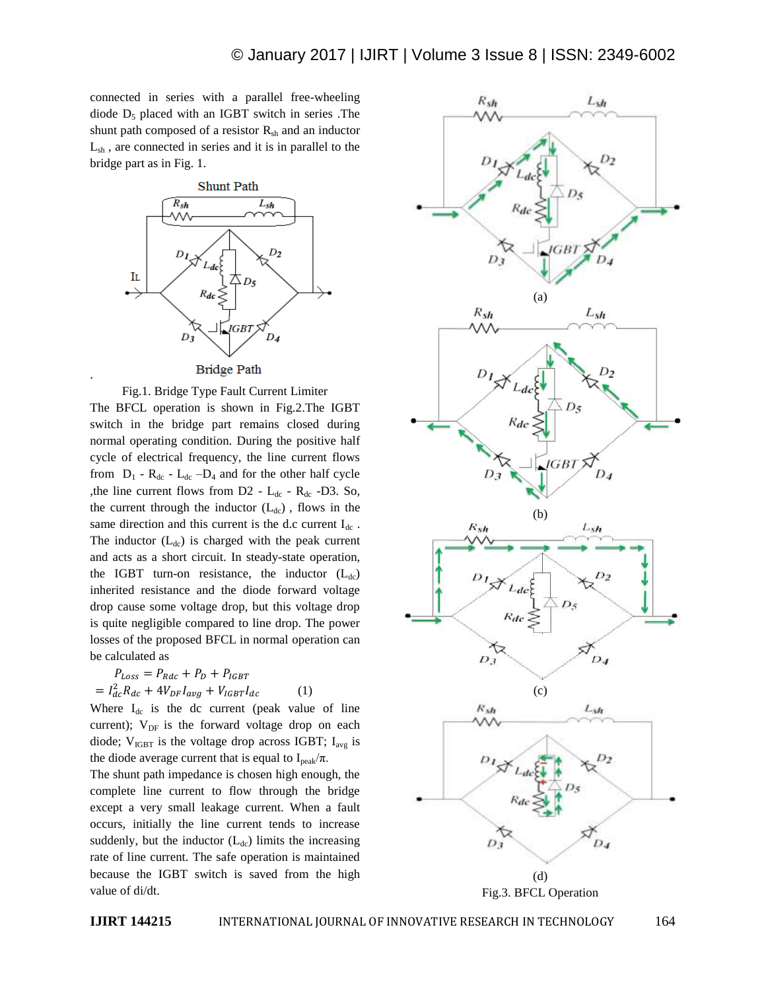connected in series with a parallel free-wheeling diode  $D_5$  placed with an IGBT switch in series . The shunt path composed of a resistor  $R_{sh}$  and an inductor Lsh , are connected in series and it is in parallel to the bridge part as in Fig. 1.



Fig.1. Bridge Type Fault Current Limiter The BFCL operation is shown in Fig.2.The IGBT switch in the bridge part remains closed during normal operating condition. During the positive half cycle of electrical frequency, the line current flows from  $D_1$  -  $R_{dc}$  -  $L_{dc}$  – $D_4$  and for the other half cycle ,the line current flows from  $D2 - L_{dc} - R_{dc} - D3$ . So, the current through the inductor  $(L_{dc})$ , flows in the same direction and this current is the d.c current  $I_{dc}$ . The inductor  $(L_{dc})$  is charged with the peak current and acts as a short circuit. In steady-state operation, the IGBT turn-on resistance, the inductor  $(L_{dc})$ inherited resistance and the diode forward voltage drop cause some voltage drop, but this voltage drop is quite negligible compared to line drop. The power losses of the proposed BFCL in normal operation can be calculated as

$$
P_{Loss} = P_{Rdc} + P_D + P_{IGBT}
$$

$$
= I_{dc}^2 R_{dc} + 4V_{DF}I_{avg} + V_{IGBT}I_{dc}
$$
 (1)

Where  $I_{dc}$  is the dc current (peak value of line current);  $V_{DF}$  is the forward voltage drop on each diode;  $V_{IGBT}$  is the voltage drop across IGBT;  $I_{avg}$  is the diode average current that is equal to  $I_{\text{peak}}/\pi$ .

The shunt path impedance is chosen high enough, the complete line current to flow through the bridge except a very small leakage current. When a fault occurs, initially the line current tends to increase suddenly, but the inductor  $(L_{dc})$  limits the increasing rate of line current. The safe operation is maintained because the IGBT switch is saved from the high value of di/dt.





.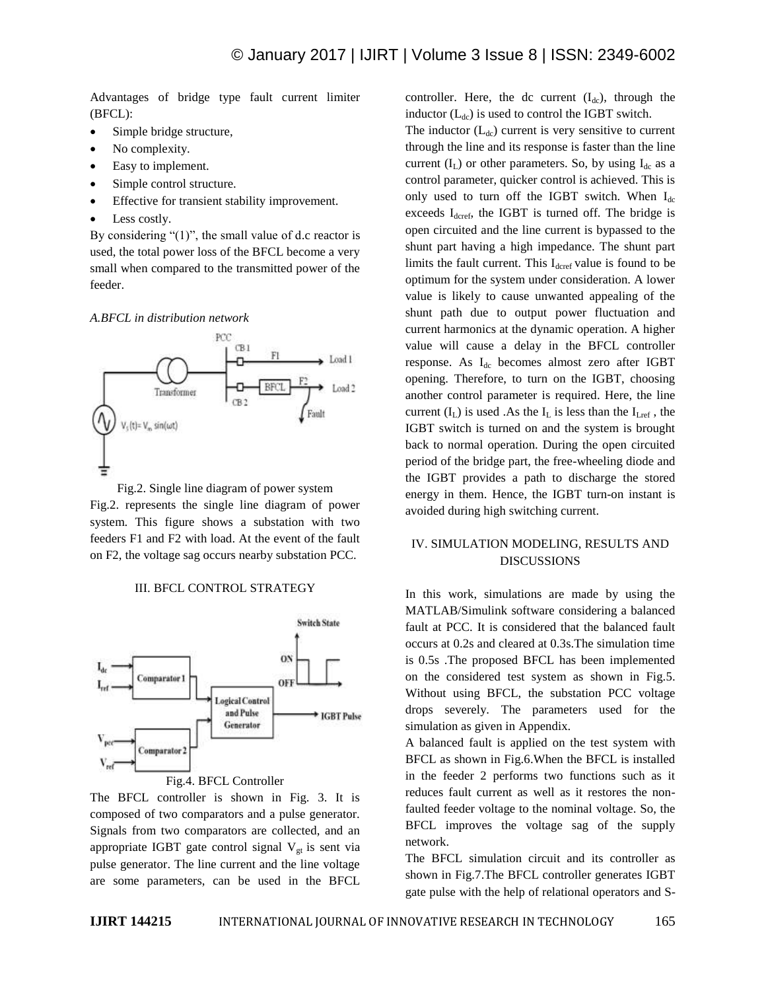Advantages of bridge type fault current limiter (BFCL):

- Simple bridge structure,
- No complexity.
- Easy to implement.
- Simple control structure.
- Effective for transient stability improvement.
- Less costly.

By considering "(1)", the small value of d.c reactor is used, the total power loss of the BFCL become a very small when compared to the transmitted power of the feeder.

*A.BFCL in distribution network*



Fig.2. Single line diagram of power system Fig.2. represents the single line diagram of power system. This figure shows a substation with two feeders F1 and F2 with load. At the event of the fault on F2, the voltage sag occurs nearby substation PCC.

III. BFCL CONTROL STRATEGY



Fig.4. BFCL Controller

The BFCL controller is shown in Fig. 3. It is composed of two comparators and a pulse generator. Signals from two comparators are collected, and an appropriate IGBT gate control signal  $V_{gt}$  is sent via pulse generator. The line current and the line voltage are some parameters, can be used in the BFCL controller. Here, the dc current  $(I_{dc})$ , through the inductor  $(L_{dc})$  is used to control the IGBT switch.

The inductor  $(L_{dc})$  current is very sensitive to current through the line and its response is faster than the line current  $(I_L)$  or other parameters. So, by using  $I_{dc}$  as a control parameter, quicker control is achieved. This is only used to turn off the IGBT switch. When  $I_{dc}$ exceeds  $I_{\text{d} \text{c} \text{ref}}$ , the IGBT is turned off. The bridge is open circuited and the line current is bypassed to the shunt part having a high impedance. The shunt part limits the fault current. This  $I_{\text{d} \text{c} \text{ref}}$  value is found to be optimum for the system under consideration. A lower value is likely to cause unwanted appealing of the shunt path due to output power fluctuation and current harmonics at the dynamic operation. A higher value will cause a delay in the BFCL controller response. As I<sub>dc</sub> becomes almost zero after IGBT opening. Therefore, to turn on the IGBT, choosing another control parameter is required. Here, the line current  $(I_L)$  is used .As the  $I_L$  is less than the  $I_{Lref}$ , the IGBT switch is turned on and the system is brought back to normal operation. During the open circuited period of the bridge part, the free-wheeling diode and the IGBT provides a path to discharge the stored energy in them. Hence, the IGBT turn-on instant is avoided during high switching current.

### IV. SIMULATION MODELING, RESULTS AND DISCUSSIONS

In this work, simulations are made by using the MATLAB/Simulink software considering a balanced fault at PCC. It is considered that the balanced fault occurs at 0.2s and cleared at 0.3s.The simulation time is 0.5s .The proposed BFCL has been implemented on the considered test system as shown in Fig.5. Without using BFCL, the substation PCC voltage drops severely. The parameters used for the simulation as given in Appendix.

A balanced fault is applied on the test system with BFCL as shown in Fig.6.When the BFCL is installed in the feeder 2 performs two functions such as it reduces fault current as well as it restores the nonfaulted feeder voltage to the nominal voltage. So, the BFCL improves the voltage sag of the supply network.

The BFCL simulation circuit and its controller as shown in Fig.7.The BFCL controller generates IGBT gate pulse with the help of relational operators and S-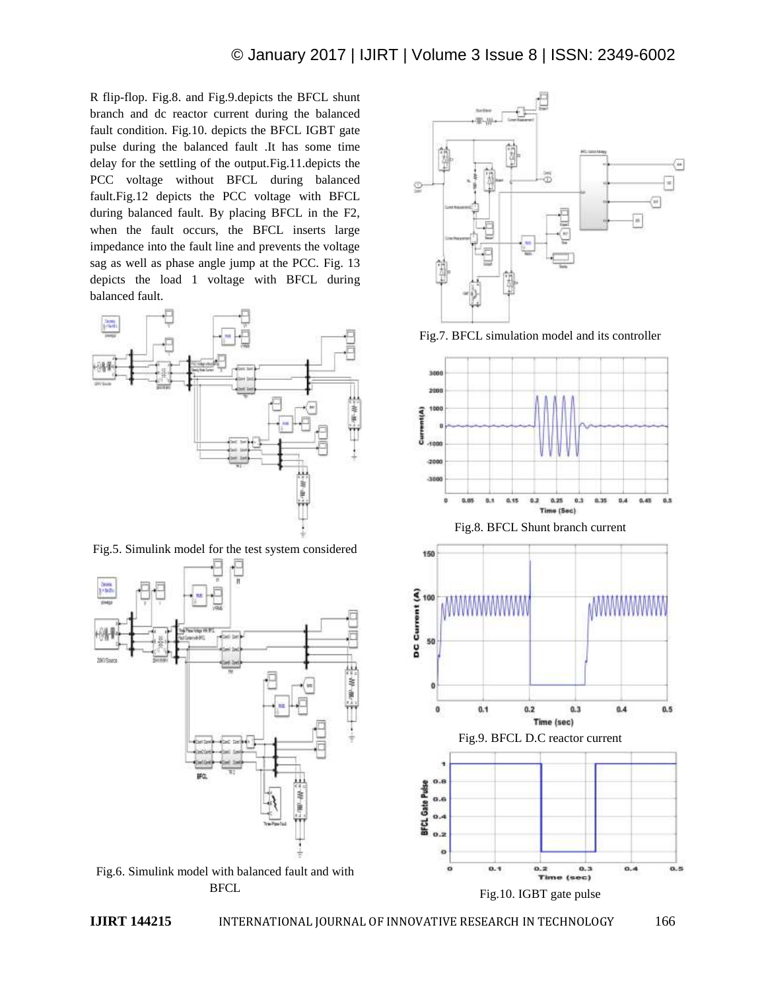R flip-flop. Fig.8. and Fig.9.depicts the BFCL shunt branch and dc reactor current during the balanced fault condition. Fig.10. depicts the BFCL IGBT gate pulse during the balanced fault .It has some time delay for the settling of the output.Fig.11.depicts the PCC voltage without BFCL during balanced fault.Fig.12 depicts the PCC voltage with BFCL during balanced fault. By placing BFCL in the F2, when the fault occurs, the BFCL inserts large impedance into the fault line and prevents the voltage sag as well as phase angle jump at the PCC. Fig. 13 depicts the load 1 voltage with BFCL during balanced fault.



Fig.5. Simulink model for the test system considered



BFCL





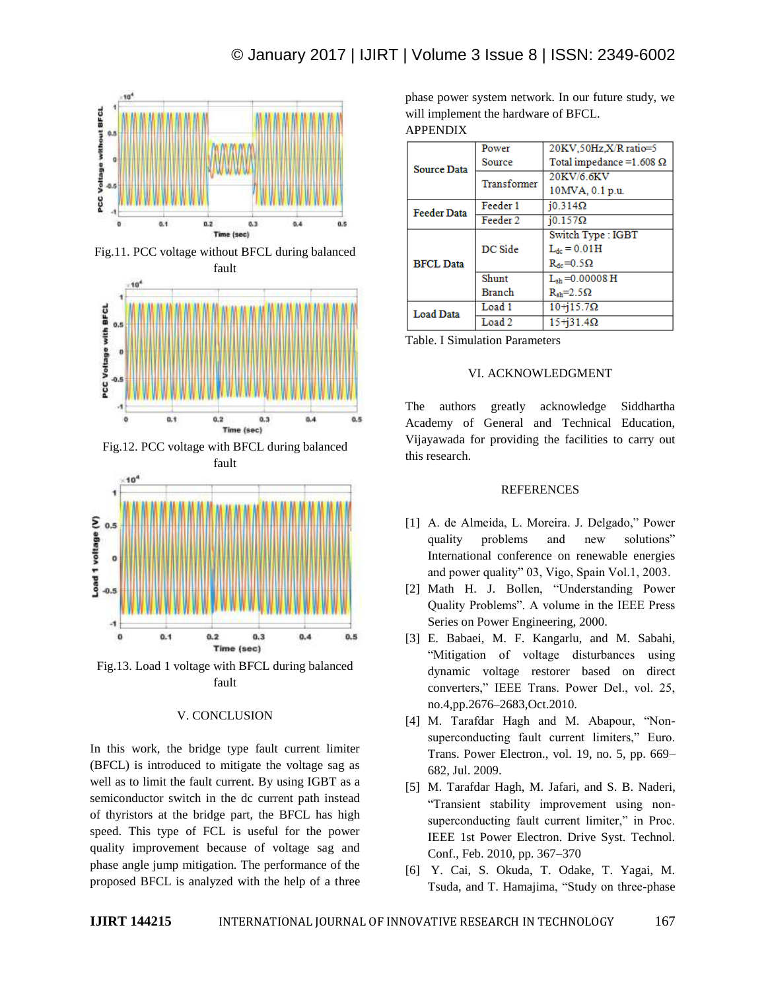

Fig.11. PCC voltage without BFCL during balanced



Fig.12. PCC voltage with BFCL during balanced



Fig.13. Load 1 voltage with BFCL during balanced fault

### V. CONCLUSION

In this work, the bridge type fault current limiter (BFCL) is introduced to mitigate the voltage sag as well as to limit the fault current. By using IGBT as a semiconductor switch in the dc current path instead of thyristors at the bridge part, the BFCL has high speed. This type of FCL is useful for the power quality improvement because of voltage sag and phase angle jump mitigation. The performance of the proposed BFCL is analyzed with the help of a three phase power system network. In our future study, we will implement the hardware of BFCL. APPENDIX

| <b>Source Data</b> | Power             | 20KV.50Hz.X/R ratio=5            |
|--------------------|-------------------|----------------------------------|
|                    | Source            | Total impedance = $1.608 \Omega$ |
|                    | Transformer       | 20KV/6.6KV                       |
|                    |                   | 10MVA, 0.1 p.u.                  |
| <b>Feeder Data</b> | Feeder 1          | $10.314\Omega$                   |
|                    | Feeder 2          | $10.157\Omega$                   |
| <b>BFCL Data</b>   | DC Side           | Switch Type: IGBT                |
|                    |                   | $L_{dc} = 0.01H$                 |
|                    |                   | $R_{dc} = 0.5 \Omega$            |
|                    | Shunt             | $L_{\rm sh} = 0.00008$ H         |
|                    | <b>Branch</b>     | $R_{\rm sh} = 2.5 \Omega$        |
| <b>Load Data</b>   | Load 1            | $10+15.7\Omega$                  |
|                    | Load <sub>2</sub> | $15 + 31.4 \Omega$               |

Table. I Simulation Parameters

### VI. ACKNOWLEDGMENT

The authors greatly acknowledge Siddhartha Academy of General and Technical Education, Vijayawada for providing the facilities to carry out this research.

### **REFERENCES**

- [1] A. de Almeida, L. Moreira. J. Delgado," Power quality problems and new solutions" International conference on renewable energies and power quality" 03, Vigo, Spain Vol.1, 2003.
- [2] Math H. J. Bollen, "Understanding Power Quality Problems". A volume in the IEEE Press Series on Power Engineering, 2000.
- [3] E. Babaei, M. F. Kangarlu, and M. Sabahi, "Mitigation of voltage disturbances using dynamic voltage restorer based on direct converters," IEEE Trans. Power Del., vol. 25, no.4,pp.2676–2683,Oct.2010.
- [4] M. Tarafdar Hagh and M. Abapour, "Nonsuperconducting fault current limiters," Euro. Trans. Power Electron., vol. 19, no. 5, pp. 669– 682, Jul. 2009.
- [5] M. Tarafdar Hagh, M. Jafari, and S. B. Naderi, "Transient stability improvement using nonsuperconducting fault current limiter," in Proc. IEEE 1st Power Electron. Drive Syst. Technol. Conf., Feb. 2010, pp. 367–370
- [6] Y. Cai, S. Okuda, T. Odake, T. Yagai, M. Tsuda, and T. Hamajima, "Study on three-phase